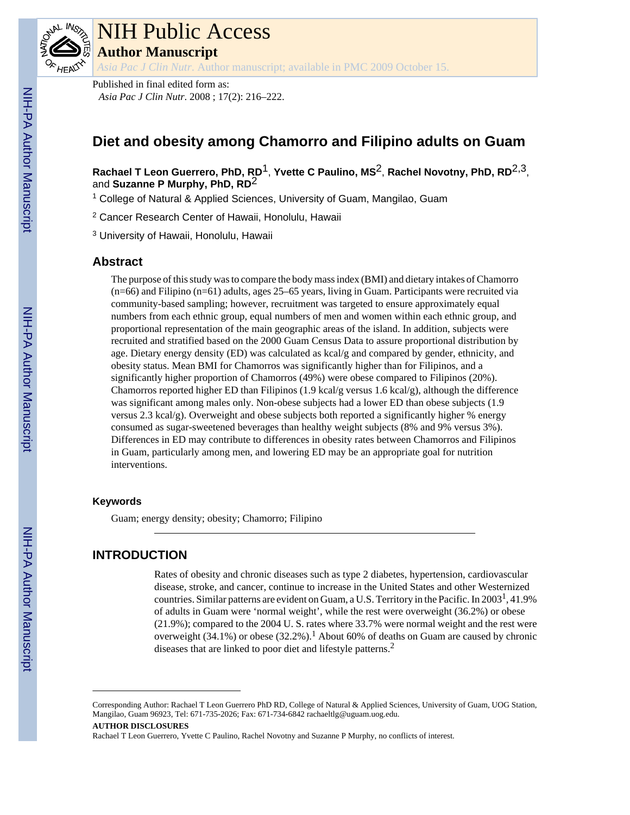

# NIH Public Access

**Author Manuscript**

*Asia Pac J Clin Nutr*. Author manuscript; available in PMC 2009 October 15.

Published in final edited form as: *Asia Pac J Clin Nutr*. 2008 ; 17(2): 216–222.

## **Diet and obesity among Chamorro and Filipino adults on Guam**

**Rachael T Leon Guerrero, PhD, RD**1, **Yvette C Paulino, MS**2, **Rachel Novotny, PhD, RD**2,3, and **Suzanne P Murphy, PhD, RD**2

<sup>1</sup> College of Natural & Applied Sciences, University of Guam, Mangilao, Guam

2 Cancer Research Center of Hawaii, Honolulu, Hawaii

<sup>3</sup> University of Hawaii, Honolulu, Hawaii

#### **Abstract**

The purpose of this study was to compare the body mass index (BMI) and dietary intakes of Chamorro (n=66) and Filipino (n=61) adults, ages 25–65 years, living in Guam. Participants were recruited via community-based sampling; however, recruitment was targeted to ensure approximately equal numbers from each ethnic group, equal numbers of men and women within each ethnic group, and proportional representation of the main geographic areas of the island. In addition, subjects were recruited and stratified based on the 2000 Guam Census Data to assure proportional distribution by age. Dietary energy density (ED) was calculated as kcal/g and compared by gender, ethnicity, and obesity status. Mean BMI for Chamorros was significantly higher than for Filipinos, and a significantly higher proportion of Chamorros (49%) were obese compared to Filipinos (20%). Chamorros reported higher ED than Filipinos (1.9 kcal/g versus 1.6 kcal/g), although the difference was significant among males only. Non-obese subjects had a lower ED than obese subjects (1.9 versus 2.3 kcal/g). Overweight and obese subjects both reported a significantly higher % energy consumed as sugar-sweetened beverages than healthy weight subjects (8% and 9% versus 3%). Differences in ED may contribute to differences in obesity rates between Chamorros and Filipinos in Guam, particularly among men, and lowering ED may be an appropriate goal for nutrition interventions.

#### **Keywords**

Guam; energy density; obesity; Chamorro; Filipino

### **INTRODUCTION**

Rates of obesity and chronic diseases such as type 2 diabetes, hypertension, cardiovascular disease, stroke, and cancer, continue to increase in the United States and other Westernized countries. Similar patterns are evident on Guam, a U.S. Territory in the Pacific. In 2003<sup>1</sup>, 41.9% of adults in Guam were 'normal weight', while the rest were overweight (36.2%) or obese (21.9%); compared to the 2004 U. S. rates where 33.7% were normal weight and the rest were overweight  $(34.1\%)$  or obese  $(32.2\%)$ .<sup>1</sup> About 60% of deaths on Guam are caused by chronic diseases that are linked to poor diet and lifestyle patterns.<sup>2</sup>

#### **AUTHOR DISCLOSURES**

Corresponding Author: Rachael T Leon Guerrero PhD RD, College of Natural & Applied Sciences, University of Guam, UOG Station, Mangilao, Guam 96923, Tel: 671-735-2026; Fax: 671-734-6842 rachaeltlg@uguam.uog.edu.

Rachael T Leon Guerrero, Yvette C Paulino, Rachel Novotny and Suzanne P Murphy, no conflicts of interest.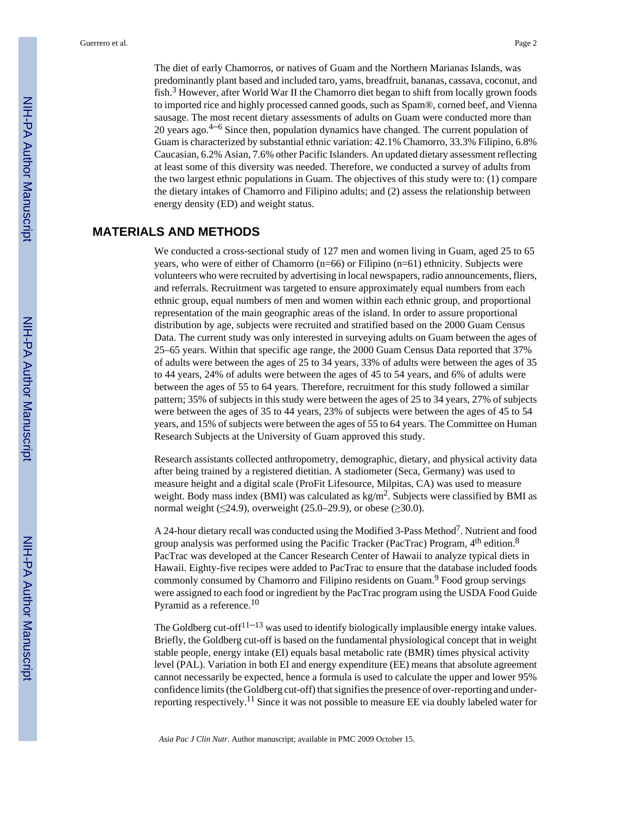The diet of early Chamorros, or natives of Guam and the Northern Marianas Islands, was predominantly plant based and included taro, yams, breadfruit, bananas, cassava, coconut, and fish.<sup>3</sup> However, after World War II the Chamorro diet began to shift from locally grown foods to imported rice and highly processed canned goods, such as Spam®, corned beef, and Vienna sausage. The most recent dietary assessments of adults on Guam were conducted more than 20 years ago.4–<sup>6</sup> Since then, population dynamics have changed. The current population of Guam is characterized by substantial ethnic variation: 42.1% Chamorro, 33.3% Filipino, 6.8% Caucasian, 6.2% Asian, 7.6% other Pacific Islanders. An updated dietary assessment reflecting at least some of this diversity was needed. Therefore, we conducted a survey of adults from the two largest ethnic populations in Guam. The objectives of this study were to: (1) compare

the dietary intakes of Chamorro and Filipino adults; and (2) assess the relationship between

#### **MATERIALS AND METHODS**

energy density (ED) and weight status.

We conducted a cross-sectional study of 127 men and women living in Guam, aged 25 to 65 years, who were of either of Chamorro (n=66) or Filipino (n=61) ethnicity. Subjects were volunteers who were recruited by advertising in local newspapers, radio announcements, fliers, and referrals. Recruitment was targeted to ensure approximately equal numbers from each ethnic group, equal numbers of men and women within each ethnic group, and proportional representation of the main geographic areas of the island. In order to assure proportional distribution by age, subjects were recruited and stratified based on the 2000 Guam Census Data. The current study was only interested in surveying adults on Guam between the ages of 25–65 years. Within that specific age range, the 2000 Guam Census Data reported that 37% of adults were between the ages of 25 to 34 years, 33% of adults were between the ages of 35 to 44 years, 24% of adults were between the ages of 45 to 54 years, and 6% of adults were between the ages of 55 to 64 years. Therefore, recruitment for this study followed a similar pattern; 35% of subjects in this study were between the ages of 25 to 34 years, 27% of subjects were between the ages of 35 to 44 years, 23% of subjects were between the ages of 45 to 54 years, and 15% of subjects were between the ages of 55 to 64 years. The Committee on Human Research Subjects at the University of Guam approved this study.

Research assistants collected anthropometry, demographic, dietary, and physical activity data after being trained by a registered dietitian. A stadiometer (Seca, Germany) was used to measure height and a digital scale (ProFit Lifesource, Milpitas, CA) was used to measure weight. Body mass index (BMI) was calculated as  $kg/m<sup>2</sup>$ . Subjects were classified by BMI as normal weight ( $\leq$ 24.9), overweight (25.0–29.9), or obese ( $\geq$ 30.0).

A 24-hour dietary recall was conducted using the Modified 3-Pass Method<sup>7</sup>. Nutrient and food group analysis was performed using the Pacific Tracker (PacTrac) Program,  $4<sup>th</sup>$  edition.<sup>8</sup> PacTrac was developed at the Cancer Research Center of Hawaii to analyze typical diets in Hawaii. Eighty-five recipes were added to PacTrac to ensure that the database included foods commonly consumed by Chamorro and Filipino residents on Guam.<sup>9</sup> Food group servings were assigned to each food or ingredient by the PacTrac program using the USDA Food Guide Pyramid as a reference.<sup>10</sup>

The Goldberg cut-off $11-13$  was used to identify biologically implausible energy intake values. Briefly, the Goldberg cut-off is based on the fundamental physiological concept that in weight stable people, energy intake (EI) equals basal metabolic rate (BMR) times physical activity level (PAL). Variation in both EI and energy expenditure (EE) means that absolute agreement cannot necessarily be expected, hence a formula is used to calculate the upper and lower 95% confidence limits (the Goldberg cut-off) that signifies the presence of over-reporting and underreporting respectively.11 Since it was not possible to measure EE via doubly labeled water for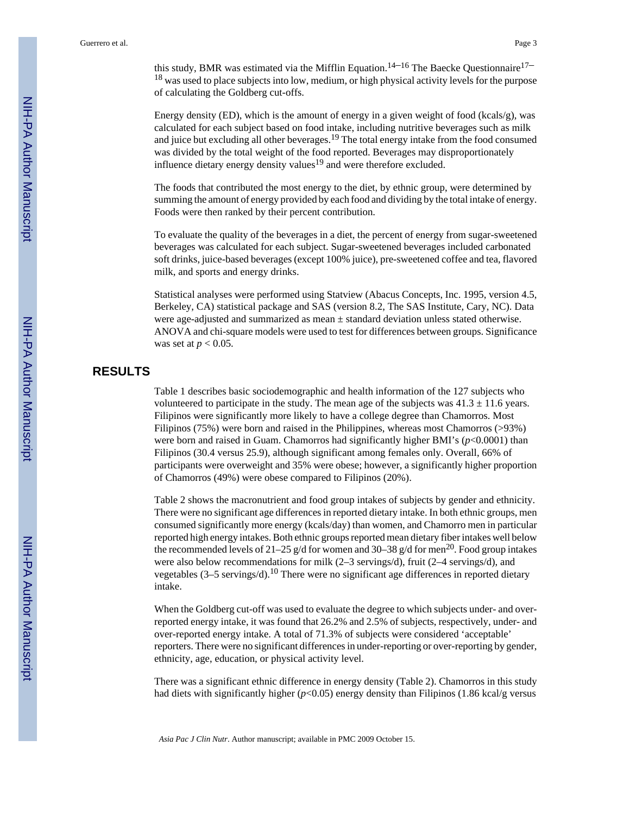this study, BMR was estimated via the Mifflin Equation.<sup>14–16</sup> The Baecke Questionnaire<sup>17–</sup> <sup>18</sup> was used to place subjects into low, medium, or high physical activity levels for the purpose of calculating the Goldberg cut-offs.

Energy density (ED), which is the amount of energy in a given weight of food (kcals/g), was calculated for each subject based on food intake, including nutritive beverages such as milk and juice but excluding all other beverages.<sup>19</sup> The total energy intake from the food consumed was divided by the total weight of the food reported. Beverages may disproportionately influence dietary energy density values<sup>19</sup> and were therefore excluded.

The foods that contributed the most energy to the diet, by ethnic group, were determined by summing the amount of energy provided by each food and dividing by the total intake of energy. Foods were then ranked by their percent contribution.

To evaluate the quality of the beverages in a diet, the percent of energy from sugar-sweetened beverages was calculated for each subject. Sugar-sweetened beverages included carbonated soft drinks, juice-based beverages (except 100% juice), pre-sweetened coffee and tea, flavored milk, and sports and energy drinks.

Statistical analyses were performed using Statview (Abacus Concepts, Inc. 1995, version 4.5, Berkeley, CA) statistical package and SAS (version 8.2, The SAS Institute, Cary, NC). Data were age-adjusted and summarized as mean  $\pm$  standard deviation unless stated otherwise. ANOVA and chi-square models were used to test for differences between groups. Significance was set at *p* < 0.05.

#### **RESULTS**

Table 1 describes basic sociodemographic and health information of the 127 subjects who volunteered to participate in the study. The mean age of the subjects was  $41.3 \pm 11.6$  years. Filipinos were significantly more likely to have a college degree than Chamorros. Most Filipinos (75%) were born and raised in the Philippines, whereas most Chamorros (>93%) were born and raised in Guam. Chamorros had significantly higher BMI's ( $p$ <0.0001) than Filipinos (30.4 versus 25.9), although significant among females only. Overall, 66% of participants were overweight and 35% were obese; however, a significantly higher proportion of Chamorros (49%) were obese compared to Filipinos (20%).

Table 2 shows the macronutrient and food group intakes of subjects by gender and ethnicity. There were no significant age differences in reported dietary intake. In both ethnic groups, men consumed significantly more energy (kcals/day) than women, and Chamorro men in particular reported high energy intakes. Both ethnic groups reported mean dietary fiber intakes well below the recommended levels of 21–25 g/d for women and 30–38 g/d for men<sup>20</sup>. Food group intakes were also below recommendations for milk (2–3 servings/d), fruit (2–4 servings/d), and vegetables (3–5 servings/d).<sup>10</sup> There were no significant age differences in reported dietary intake.

When the Goldberg cut-off was used to evaluate the degree to which subjects under- and overreported energy intake, it was found that 26.2% and 2.5% of subjects, respectively, under- and over-reported energy intake. A total of 71.3% of subjects were considered 'acceptable' reporters. There were no significant differences in under-reporting or over-reporting by gender, ethnicity, age, education, or physical activity level.

There was a significant ethnic difference in energy density (Table 2). Chamorros in this study had diets with significantly higher ( $p$ <0.05) energy density than Filipinos (1.86 kcal/g versus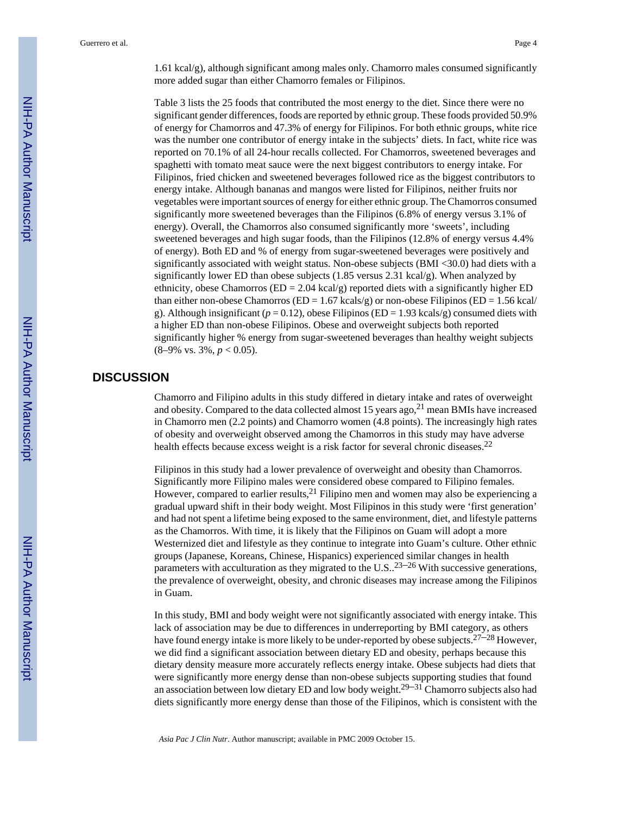1.61 kcal/g), although significant among males only. Chamorro males consumed significantly more added sugar than either Chamorro females or Filipinos.

Table 3 lists the 25 foods that contributed the most energy to the diet. Since there were no significant gender differences, foods are reported by ethnic group. These foods provided 50.9% of energy for Chamorros and 47.3% of energy for Filipinos. For both ethnic groups, white rice was the number one contributor of energy intake in the subjects' diets. In fact, white rice was reported on 70.1% of all 24-hour recalls collected. For Chamorros, sweetened beverages and spaghetti with tomato meat sauce were the next biggest contributors to energy intake. For Filipinos, fried chicken and sweetened beverages followed rice as the biggest contributors to energy intake. Although bananas and mangos were listed for Filipinos, neither fruits nor vegetables were important sources of energy for either ethnic group. The Chamorros consumed significantly more sweetened beverages than the Filipinos (6.8% of energy versus 3.1% of energy). Overall, the Chamorros also consumed significantly more 'sweets', including sweetened beverages and high sugar foods, than the Filipinos (12.8% of energy versus 4.4% of energy). Both ED and % of energy from sugar-sweetened beverages were positively and significantly associated with weight status. Non-obese subjects (BMI <30.0) had diets with a significantly lower ED than obese subjects (1.85 versus 2.31 kcal/g). When analyzed by ethnicity, obese Chamorros ( $ED = 2.04$  kcal/g) reported diets with a significantly higher  $ED$ than either non-obese Chamorros ( $ED = 1.67$  kcals/g) or non-obese Filipinos ( $ED = 1.56$  kcal/ g). Although insignificant ( $p = 0.12$ ), obese Filipinos (ED = 1.93 kcals/g) consumed diets with a higher ED than non-obese Filipinos. Obese and overweight subjects both reported significantly higher % energy from sugar-sweetened beverages than healthy weight subjects (8–9% vs. 3%, *p* < 0.05).

#### **DISCUSSION**

Chamorro and Filipino adults in this study differed in dietary intake and rates of overweight and obesity. Compared to the data collected almost 15 years ago,  $2<sup>1</sup>$  mean BMIs have increased in Chamorro men (2.2 points) and Chamorro women (4.8 points). The increasingly high rates of obesity and overweight observed among the Chamorros in this study may have adverse health effects because excess weight is a risk factor for several chronic diseases.<sup>22</sup>

Filipinos in this study had a lower prevalence of overweight and obesity than Chamorros. Significantly more Filipino males were considered obese compared to Filipino females. However, compared to earlier results,  $2<sup>1</sup>$  Filipino men and women may also be experiencing a gradual upward shift in their body weight. Most Filipinos in this study were 'first generation' and had not spent a lifetime being exposed to the same environment, diet, and lifestyle patterns as the Chamorros. With time, it is likely that the Filipinos on Guam will adopt a more Westernized diet and lifestyle as they continue to integrate into Guam's culture. Other ethnic groups (Japanese, Koreans, Chinese, Hispanics) experienced similar changes in health parameters with acculturation as they migrated to the U.S..<sup>23–26</sup> With successive generations, the prevalence of overweight, obesity, and chronic diseases may increase among the Filipinos in Guam.

In this study, BMI and body weight were not significantly associated with energy intake. This lack of association may be due to differences in underreporting by BMI category, as others have found energy intake is more likely to be under-reported by obese subjects.<sup>27–28</sup> However, we did find a significant association between dietary ED and obesity, perhaps because this dietary density measure more accurately reflects energy intake. Obese subjects had diets that were significantly more energy dense than non-obese subjects supporting studies that found an association between low dietary ED and low body weight.<sup>29–31</sup> Chamorro subjects also had diets significantly more energy dense than those of the Filipinos, which is consistent with the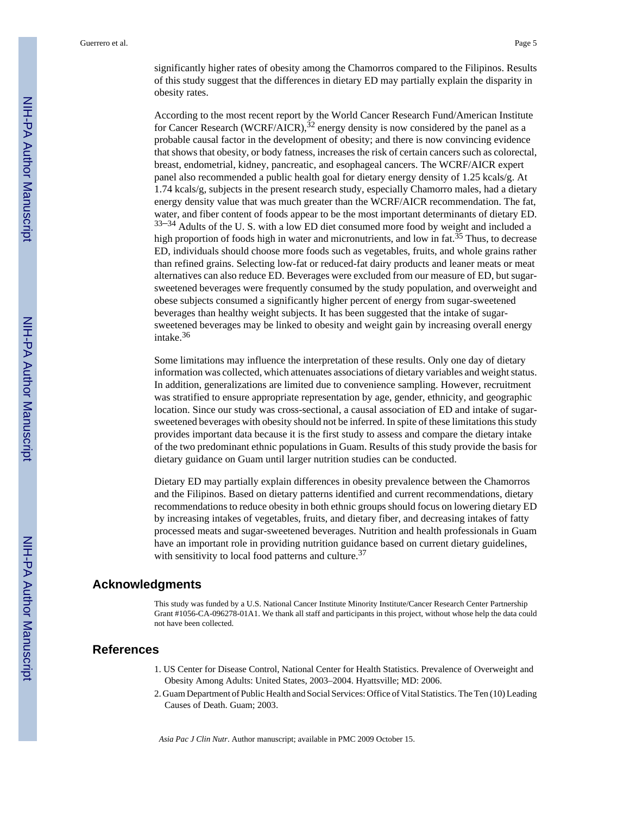significantly higher rates of obesity among the Chamorros compared to the Filipinos. Results of this study suggest that the differences in dietary ED may partially explain the disparity in obesity rates.

According to the most recent report by the World Cancer Research Fund/American Institute for Cancer Research (WCRF/AICR),  $32$  energy density is now considered by the panel as a probable causal factor in the development of obesity; and there is now convincing evidence that shows that obesity, or body fatness, increases the risk of certain cancers such as colorectal, breast, endometrial, kidney, pancreatic, and esophageal cancers. The WCRF/AICR expert panel also recommended a public health goal for dietary energy density of 1.25 kcals/g. At 1.74 kcals/g, subjects in the present research study, especially Chamorro males, had a dietary energy density value that was much greater than the WCRF/AICR recommendation. The fat, water, and fiber content of foods appear to be the most important determinants of dietary ED.  $33-34$  Adults of the U.S. with a low ED diet consumed more food by weight and included a high proportion of foods high in water and micronutrients, and low in fat. $35$  Thus, to decrease ED, individuals should choose more foods such as vegetables, fruits, and whole grains rather than refined grains. Selecting low-fat or reduced-fat dairy products and leaner meats or meat alternatives can also reduce ED. Beverages were excluded from our measure of ED, but sugarsweetened beverages were frequently consumed by the study population, and overweight and obese subjects consumed a significantly higher percent of energy from sugar-sweetened beverages than healthy weight subjects. It has been suggested that the intake of sugarsweetened beverages may be linked to obesity and weight gain by increasing overall energy intake.<sup>36</sup>

Some limitations may influence the interpretation of these results. Only one day of dietary information was collected, which attenuates associations of dietary variables and weight status. In addition, generalizations are limited due to convenience sampling. However, recruitment was stratified to ensure appropriate representation by age, gender, ethnicity, and geographic location. Since our study was cross-sectional, a causal association of ED and intake of sugarsweetened beverages with obesity should not be inferred. In spite of these limitations this study provides important data because it is the first study to assess and compare the dietary intake of the two predominant ethnic populations in Guam. Results of this study provide the basis for dietary guidance on Guam until larger nutrition studies can be conducted.

Dietary ED may partially explain differences in obesity prevalence between the Chamorros and the Filipinos. Based on dietary patterns identified and current recommendations, dietary recommendations to reduce obesity in both ethnic groups should focus on lowering dietary ED by increasing intakes of vegetables, fruits, and dietary fiber, and decreasing intakes of fatty processed meats and sugar-sweetened beverages. Nutrition and health professionals in Guam have an important role in providing nutrition guidance based on current dietary guidelines, with sensitivity to local food patterns and culture.<sup>37</sup>

#### **Acknowledgments**

This study was funded by a U.S. National Cancer Institute Minority Institute/Cancer Research Center Partnership Grant #1056-CA-096278-01A1. We thank all staff and participants in this project, without whose help the data could not have been collected.

#### **References**

- 1. US Center for Disease Control, National Center for Health Statistics. Prevalence of Overweight and Obesity Among Adults: United States, 2003–2004. Hyattsville; MD: 2006.
- 2. Guam Department of Public Health and Social Services: Office of Vital Statistics. The Ten (10) Leading Causes of Death. Guam; 2003.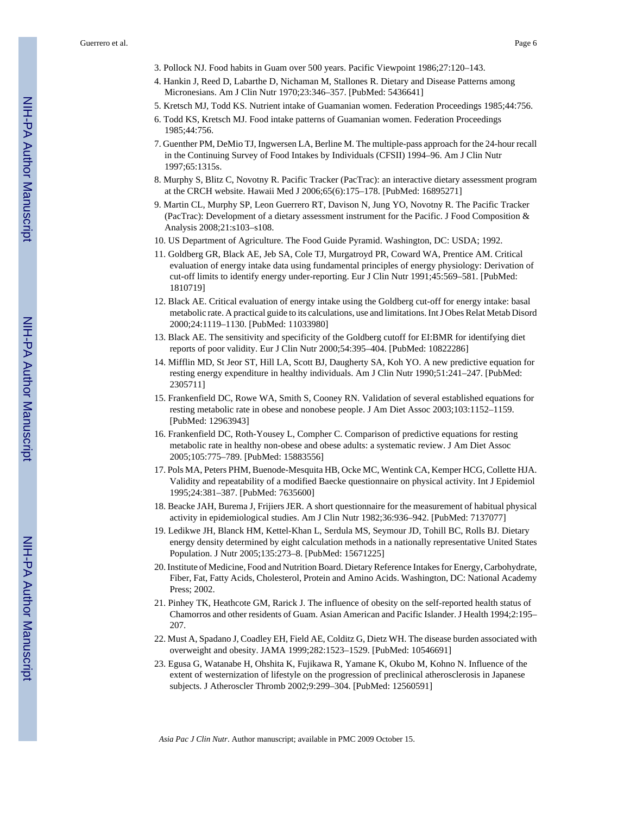- 3. Pollock NJ. Food habits in Guam over 500 years. Pacific Viewpoint 1986;27:120–143.
- 4. Hankin J, Reed D, Labarthe D, Nichaman M, Stallones R. Dietary and Disease Patterns among Micronesians. Am J Clin Nutr 1970;23:346–357. [PubMed: 5436641]
- 5. Kretsch MJ, Todd KS. Nutrient intake of Guamanian women. Federation Proceedings 1985;44:756.
- 6. Todd KS, Kretsch MJ. Food intake patterns of Guamanian women. Federation Proceedings 1985;44:756.
- 7. Guenther PM, DeMio TJ, Ingwersen LA, Berline M. The multiple-pass approach for the 24-hour recall in the Continuing Survey of Food Intakes by Individuals (CFSII) 1994–96. Am J Clin Nutr 1997;65:1315s.
- 8. Murphy S, Blitz C, Novotny R. Pacific Tracker (PacTrac): an interactive dietary assessment program at the CRCH website. Hawaii Med J 2006;65(6):175–178. [PubMed: 16895271]
- 9. Martin CL, Murphy SP, Leon Guerrero RT, Davison N, Jung YO, Novotny R. The Pacific Tracker (PacTrac): Development of a dietary assessment instrument for the Pacific. J Food Composition & Analysis 2008;21:s103–s108.
- 10. US Department of Agriculture. The Food Guide Pyramid. Washington, DC: USDA; 1992.
- 11. Goldberg GR, Black AE, Jeb SA, Cole TJ, Murgatroyd PR, Coward WA, Prentice AM. Critical evaluation of energy intake data using fundamental principles of energy physiology: Derivation of cut-off limits to identify energy under-reporting. Eur J Clin Nutr 1991;45:569–581. [PubMed: 1810719]
- 12. Black AE. Critical evaluation of energy intake using the Goldberg cut-off for energy intake: basal metabolic rate. A practical guide to its calculations, use and limitations. Int J Obes Relat Metab Disord 2000;24:1119–1130. [PubMed: 11033980]
- 13. Black AE. The sensitivity and specificity of the Goldberg cutoff for EI:BMR for identifying diet reports of poor validity. Eur J Clin Nutr 2000;54:395–404. [PubMed: 10822286]
- 14. Mifflin MD, St Jeor ST, Hill LA, Scott BJ, Daugherty SA, Koh YO. A new predictive equation for resting energy expenditure in healthy individuals. Am J Clin Nutr 1990;51:241–247. [PubMed: 2305711]
- 15. Frankenfield DC, Rowe WA, Smith S, Cooney RN. Validation of several established equations for resting metabolic rate in obese and nonobese people. J Am Diet Assoc 2003;103:1152–1159. [PubMed: 12963943]
- 16. Frankenfield DC, Roth-Yousey L, Compher C. Comparison of predictive equations for resting metabolic rate in healthy non-obese and obese adults: a systematic review. J Am Diet Assoc 2005;105:775–789. [PubMed: 15883556]
- 17. Pols MA, Peters PHM, Buenode-Mesquita HB, Ocke MC, Wentink CA, Kemper HCG, Collette HJA. Validity and repeatability of a modified Baecke questionnaire on physical activity. Int J Epidemiol 1995;24:381–387. [PubMed: 7635600]
- 18. Beacke JAH, Burema J, Frijiers JER. A short questionnaire for the measurement of habitual physical activity in epidemiological studies. Am J Clin Nutr 1982;36:936–942. [PubMed: 7137077]
- 19. Ledikwe JH, Blanck HM, Kettel-Khan L, Serdula MS, Seymour JD, Tohill BC, Rolls BJ. Dietary energy density determined by eight calculation methods in a nationally representative United States Population. J Nutr 2005;135:273–8. [PubMed: 15671225]
- 20. Institute of Medicine, Food and Nutrition Board. Dietary Reference Intakes for Energy, Carbohydrate, Fiber, Fat, Fatty Acids, Cholesterol, Protein and Amino Acids. Washington, DC: National Academy Press; 2002.
- 21. Pinhey TK, Heathcote GM, Rarick J. The influence of obesity on the self-reported health status of Chamorros and other residents of Guam. Asian American and Pacific Islander. J Health 1994;2:195– 207.
- 22. Must A, Spadano J, Coadley EH, Field AE, Colditz G, Dietz WH. The disease burden associated with overweight and obesity. JAMA 1999;282:1523–1529. [PubMed: 10546691]
- 23. Egusa G, Watanabe H, Ohshita K, Fujikawa R, Yamane K, Okubo M, Kohno N. Influence of the extent of westernization of lifestyle on the progression of preclinical atherosclerosis in Japanese subjects. J Atheroscler Thromb 2002;9:299–304. [PubMed: 12560591]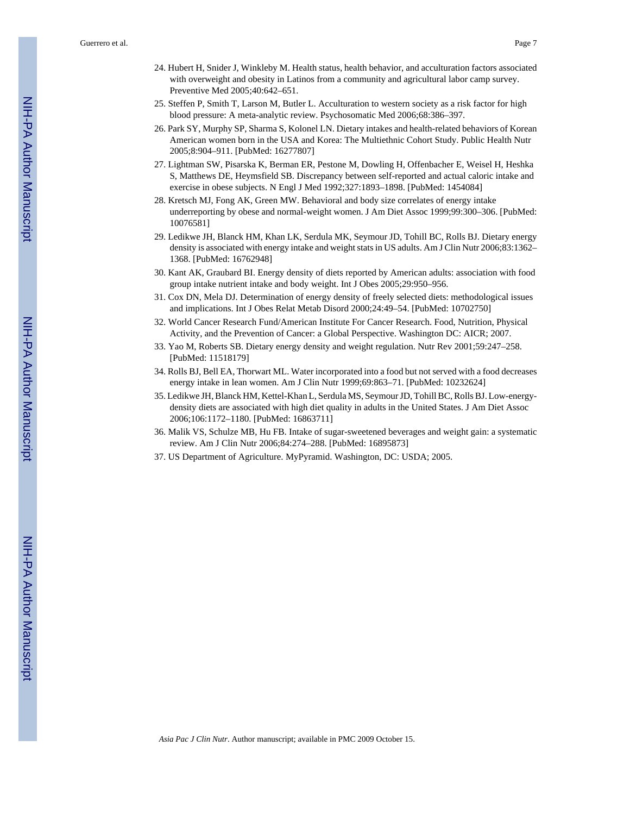Guerrero et al. Page 7

- 24. Hubert H, Snider J, Winkleby M. Health status, health behavior, and acculturation factors associated with overweight and obesity in Latinos from a community and agricultural labor camp survey. Preventive Med 2005;40:642–651.
- 25. Steffen P, Smith T, Larson M, Butler L. Acculturation to western society as a risk factor for high blood pressure: A meta-analytic review. Psychosomatic Med 2006;68:386–397.
- 26. Park SY, Murphy SP, Sharma S, Kolonel LN. Dietary intakes and health-related behaviors of Korean American women born in the USA and Korea: The Multiethnic Cohort Study. Public Health Nutr 2005;8:904–911. [PubMed: 16277807]
- 27. Lightman SW, Pisarska K, Berman ER, Pestone M, Dowling H, Offenbacher E, Weisel H, Heshka S, Matthews DE, Heymsfield SB. Discrepancy between self-reported and actual caloric intake and exercise in obese subjects. N Engl J Med 1992;327:1893–1898. [PubMed: 1454084]
- 28. Kretsch MJ, Fong AK, Green MW. Behavioral and body size correlates of energy intake underreporting by obese and normal-weight women. J Am Diet Assoc 1999;99:300–306. [PubMed: 10076581]
- 29. Ledikwe JH, Blanck HM, Khan LK, Serdula MK, Seymour JD, Tohill BC, Rolls BJ. Dietary energy density is associated with energy intake and weight stats in US adults. Am J Clin Nutr 2006;83:1362– 1368. [PubMed: 16762948]
- 30. Kant AK, Graubard BI. Energy density of diets reported by American adults: association with food group intake nutrient intake and body weight. Int J Obes 2005;29:950–956.
- 31. Cox DN, Mela DJ. Determination of energy density of freely selected diets: methodological issues and implications. Int J Obes Relat Metab Disord 2000;24:49–54. [PubMed: 10702750]
- 32. World Cancer Research Fund/American Institute For Cancer Research. Food, Nutrition, Physical Activity, and the Prevention of Cancer: a Global Perspective. Washington DC: AICR; 2007.
- 33. Yao M, Roberts SB. Dietary energy density and weight regulation. Nutr Rev 2001;59:247–258. [PubMed: 11518179]
- 34. Rolls BJ, Bell EA, Thorwart ML. Water incorporated into a food but not served with a food decreases energy intake in lean women. Am J Clin Nutr 1999;69:863–71. [PubMed: 10232624]
- 35. Ledikwe JH, Blanck HM, Kettel-Khan L, Serdula MS, Seymour JD, Tohill BC, Rolls BJ. Low-energydensity diets are associated with high diet quality in adults in the United States. J Am Diet Assoc 2006;106:1172–1180. [PubMed: 16863711]
- 36. Malik VS, Schulze MB, Hu FB. Intake of sugar-sweetened beverages and weight gain: a systematic review. Am J Clin Nutr 2006;84:274–288. [PubMed: 16895873]
- 37. US Department of Agriculture. MyPyramid. Washington, DC: USDA; 2005.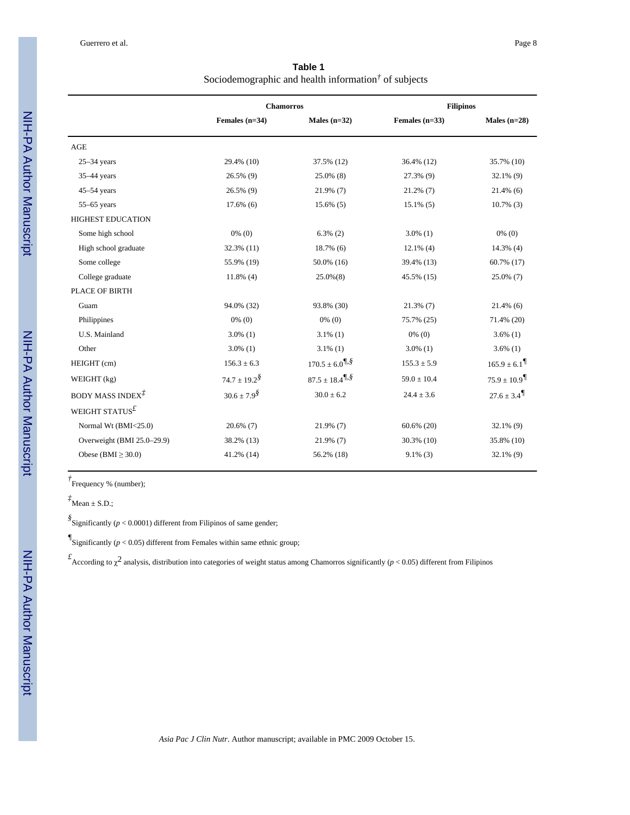**Table 1** Sociodemographic and health information<sup>†</sup> of subjects

|                             | <b>Chamorros</b>     |                                                | <b>Filipinos</b> |                 |
|-----------------------------|----------------------|------------------------------------------------|------------------|-----------------|
|                             | Females $(n=34)$     | Males $(n=32)$                                 | Females $(n=33)$ | Males $(n=28)$  |
| AGE                         |                      |                                                |                  |                 |
| $25-34$ years               | 29.4% (10)           | 37.5% (12)                                     | 36.4% (12)       | 35.7% (10)      |
| 35-44 years                 | 26.5% (9)            | 25.0% (8)                                      | 27.3% (9)        | $32.1\%$ (9)    |
| $45-54$ years               | 26.5% (9)            | 21.9% (7)                                      | $21.2\%$ (7)     | $21.4\%$ (6)    |
| $55-65$ years               | $17.6\%$ (6)         | $15.6\%$ (5)                                   | $15.1\%$ (5)     | $10.7\%$ (3)    |
| <b>HIGHEST EDUCATION</b>    |                      |                                                |                  |                 |
| Some high school            | $0\%$ (0)            | $6.3\%$ (2)                                    | $3.0\%$ (1)      | $0\%$ (0)       |
| High school graduate        | 32.3% (11)           | $18.7\%$ (6)                                   | $12.1\%$ (4)     | $14.3\%$ (4)    |
| Some college                | 55.9% (19)           | 50.0% (16)                                     | 39.4% (13)       | 60.7% (17)      |
| College graduate            | $11.8\%$ (4)         | $25.0\%(8)$                                    | 45.5% (15)       | 25.0% (7)       |
| PLACE OF BIRTH              |                      |                                                |                  |                 |
| Guam                        | 94.0% (32)           | 93.8% (30)                                     | $21.3\%$ (7)     | $21.4\%$ (6)    |
| Philippines                 | $0\%$ (0)            | $0\%$ (0)                                      | 75.7% (25)       | 71.4% (20)      |
| U.S. Mainland               | $3.0\%$ (1)          | $3.1\%$ (1)                                    | $0\%$ (0)        | $3.6\%$ (1)     |
| Other                       | $3.0\%$ (1)          | $3.1\%$ (1)                                    | $3.0\%$ (1)      | $3.6\%$ (1)     |
| HEIGHT (cm)                 | $156.3 \pm 6.3$      | $170.5 \pm 6.0$ <sup>7, §</sup>                | $155.3 \pm 5.9$  | $165.9 \pm 6.1$ |
| WEIGHT (kg)                 | $74.7 \pm 19.2^{\$}$ | $87.5 \pm 18.4$ <sup>7</sup> / <sub>5</sub> \$ | $59.0 \pm 10.4$  | $75.9 \pm 10.9$ |
| BODY MASS INDEX $\vec{A}$   | $30.6 \pm 7.9^{\$}$  | $30.0 \pm 6.2$                                 | $24.4 \pm 3.6$   | $27.6 \pm 3.4$  |
| WEIGHT STATUS $^{\text{f}}$ |                      |                                                |                  |                 |
| Normal Wt (BMI<25.0)        | $20.6\%$ (7)         | 21.9% (7)                                      | $60.6\%$ (20)    | $32.1\%$ (9)    |
| Overweight (BMI 25.0-29.9)  | 38.2% (13)           | $21.9\%$ (7)                                   | $30.3\%$ (10)    | 35.8% (10)      |
| Obese (BMI $\geq$ 30.0)     | 41.2% (14)           | 56.2% (18)                                     | $9.1\%$ (3)      | $32.1\%$ (9)    |

*†* Frequency % (number);

 $\overrightarrow{A}$ Mean  $\pm$  S.D.;

*§* Significantly (*p* < 0.0001) different from Filipinos of same gender;

 $\sqrt[g]{\text{Significantly } (p < 0.05)}$  different from Females within same ethnic group;

*£* According to χ 2 analysis, distribution into categories of weight status among Chamorros significantly (*p* < 0.05) different from Filipinos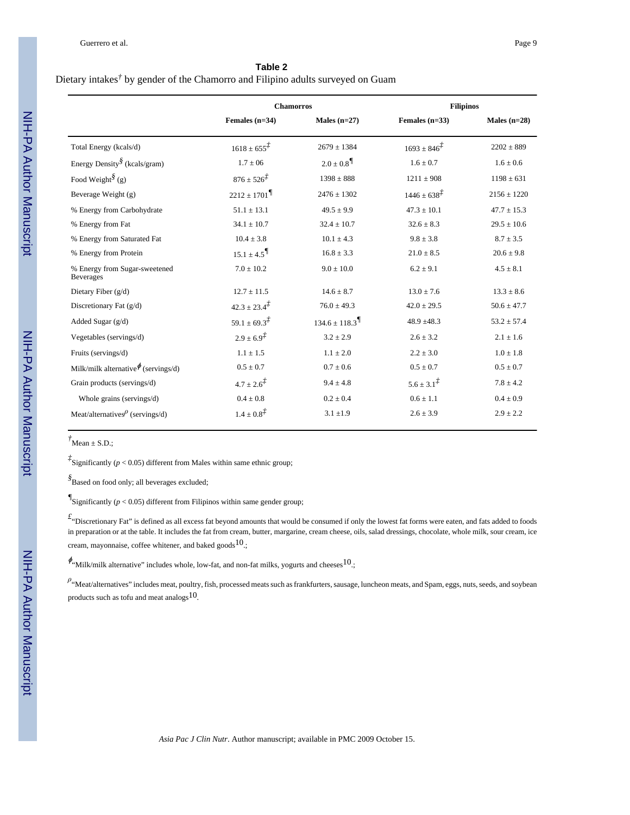#### **Table 2**

#### Dietary intakes*†* by gender of the Chamorro and Filipino adults surveyed on Guam

|                                                   | <b>Chamorros</b>                              |                                                | <b>Filipinos</b>          |                 |
|---------------------------------------------------|-----------------------------------------------|------------------------------------------------|---------------------------|-----------------|
|                                                   | Females $(n=34)$                              | Males $(n=27)$                                 | Females $(n=33)$          | Males $(n=28)$  |
| Total Energy (kcals/d)                            | $1618 \pm 655^{\ddagger}$                     | $2679 \pm 1384$                                | $1693 \pm 846^{7}$        | $2202 \pm 889$  |
| Energy Density $\sqrt[8]{\text{kcals}}$ /gram)    | $1.7 \pm 06$                                  | $2.0 \pm 0.8$ <sup><math>\sqrt{ }</math></sup> | $1.6 \pm 0.7$             | $1.6 \pm 0.6$   |
| Food Weight <sup>§</sup> (g)                      | $876 \pm 526^{\frac{1}{2}}$<br>$1398 \pm 888$ |                                                | $1211 \pm 908$            | $1198 \pm 631$  |
| Beverage Weight (g)                               | $2212 \pm 1701$                               | $2476 \pm 1302$                                | $1446 \pm 638^{\ddagger}$ | $2156 \pm 1220$ |
| % Energy from Carbohydrate                        | $51.1 \pm 13.1$                               | $49.5 \pm 9.9$                                 | $47.3 \pm 10.1$           | $47.7 \pm 15.3$ |
| % Energy from Fat                                 | $34.1 \pm 10.7$                               | $32.4 \pm 10.7$                                | $32.6 \pm 8.3$            | $29.5 \pm 10.6$ |
| % Energy from Saturated Fat                       | $10.4 \pm 3.8$                                | $10.1 \pm 4.3$                                 | $9.8 \pm 3.8$             | $8.7 \pm 3.5$   |
| % Energy from Protein                             | $15.1 \pm 4.5$                                | $16.8 \pm 3.3$                                 | $21.0 \pm 8.5$            | $20.6 \pm 9.8$  |
| % Energy from Sugar-sweetened<br><b>Beverages</b> | $7.0 \pm 10.2$                                | $9.0 \pm 10.0$                                 | $6.2 \pm 9.1$             | $4.5 \pm 8.1$   |
| Dietary Fiber $(g/d)$                             | $12.7 \pm 11.5$                               | $14.6 \pm 8.7$                                 | $13.0 \pm 7.6$            | $13.3 \pm 8.6$  |
| Discretionary Fat $(g/d)$                         | $42.3 \pm 23.4^{\ddagger}$                    | $76.0 \pm 49.3$                                | $42.0 \pm 29.5$           | $50.6 \pm 47.7$ |
| Added Sugar (g/d)                                 | $59.1 \pm 69.3^{\ddagger}$                    | $134.6 \pm 118.3$                              | $48.9 \pm 48.3$           | $53.2 \pm 57.4$ |
| Vegetables (servings/d)                           | $2.9 \pm 6.9^{2}$                             | $3.2 \pm 2.9$                                  | $2.6 \pm 3.2$             | $2.1 \pm 1.6$   |
| Fruits (servings/d)                               | $1.1 \pm 1.5$                                 | $1.1 \pm 2.0$                                  | $2.2 \pm 3.0$             | $1.0 \pm 1.8$   |
| Milk/milk alternative $\phi$ (servings/d)         | $0.5 \pm 0.7$                                 | $0.7 \pm 0.6$                                  | $0.5 \pm 0.7$             | $0.5 \pm 0.7$   |
| Grain products (servings/d)                       | $4.7 \pm 2.6^{\frac{1}{2}}$                   | $9.4 \pm 4.8$                                  | $5.6 \pm 3.1^{\ddagger}$  | $7.8 \pm 4.2$   |
| Whole grains (servings/d)                         | $0.4 \pm 0.8$                                 | $0.2 \pm 0.4$                                  | $0.6 \pm 1.1$             | $0.4 \pm 0.9$   |
| Meat/alternatives $\ell$ (servings/d)             | $1.4 \pm 0.8^{2}$                             | $3.1 \pm 1.9$                                  | $2.6 \pm 3.9$             | $2.9 \pm 2.2$   |

 $\dot{f}$ Mean  $\pm$  S.D.;

*‡* Significantly (*p* < 0.05) different from Males within same ethnic group;

*§* Based on food only; all beverages excluded;

 $\mathscr{I}_{\text{Significantly } (p < 0.05) \text{ different from Filipinos within same gender group; }}$ 

*£* "Discretionary Fat" is defined as all excess fat beyond amounts that would be consumed if only the lowest fat forms were eaten, and fats added to foods in preparation or at the table. It includes the fat from cream, butter, margarine, cream cheese, oils, salad dressings, chocolate, whole milk, sour cream, ice cream, mayonnaise, coffee whitener, and baked goods $^{10}$ .;

 $\phi_{\text{``Milk/milk alternative''}}$  includes whole, low-fat, and non-fat milks, yogurts and cheeses  $10$ .

*ρ*<br>"Meat/alternatives" includes meat, poultry, fish, processed meats such as frankfurters, sausage, luncheon meats, and Spam, eggs, nuts, seeds, and soybean products such as tofu and meat analogs10.